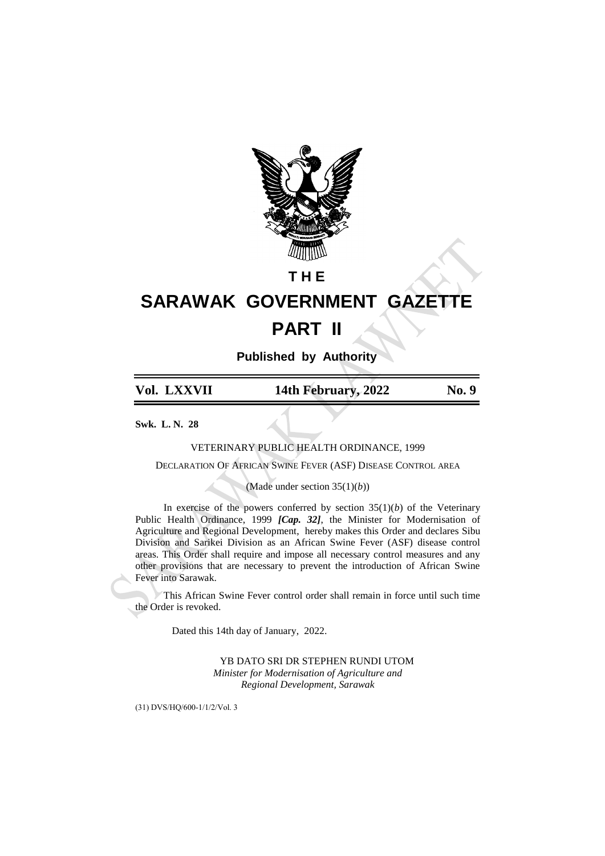

## **T H E**

# **SARAWAK GOVERNMENT GAZETTE PART II**

**Published by Authority**

**Vol. LXXVII 14th February, 2022 No. 9**

**Swk. L. N. 28**

VETERINARY PUBLIC HEALTH ORDINANCE, 1999

DECLARATION OF AFRICAN SWINE FEVER (ASF) DISEASE CONTROL AREA

(Made under section 35(1)(*b*))

In exercise of the powers conferred by section  $35(1)(b)$  of the Veterinary Public Health Ordinance, 1999 *[Cap. 32]*, the Minister for Modernisation of Agriculture and Regional Development, hereby makes this Order and declares Sibu Division and Sarikei Division as an African Swine Fever (ASF) disease control areas. This Order shall require and impose all necessary control measures and any other provisions that are necessary to prevent the introduction of African Swine Fever into Sarawak.

This African Swine Fever control order shall remain in force until such time the Order is revoked.

Dated this 14th day of January, 2022.

YB DATO SRI DR STEPHEN RUNDI UTOM *Minister for Modernisation of Agriculture and Regional Development, Sarawak*

(31) DVS/HQ/600-1/1/2/Vol. 3